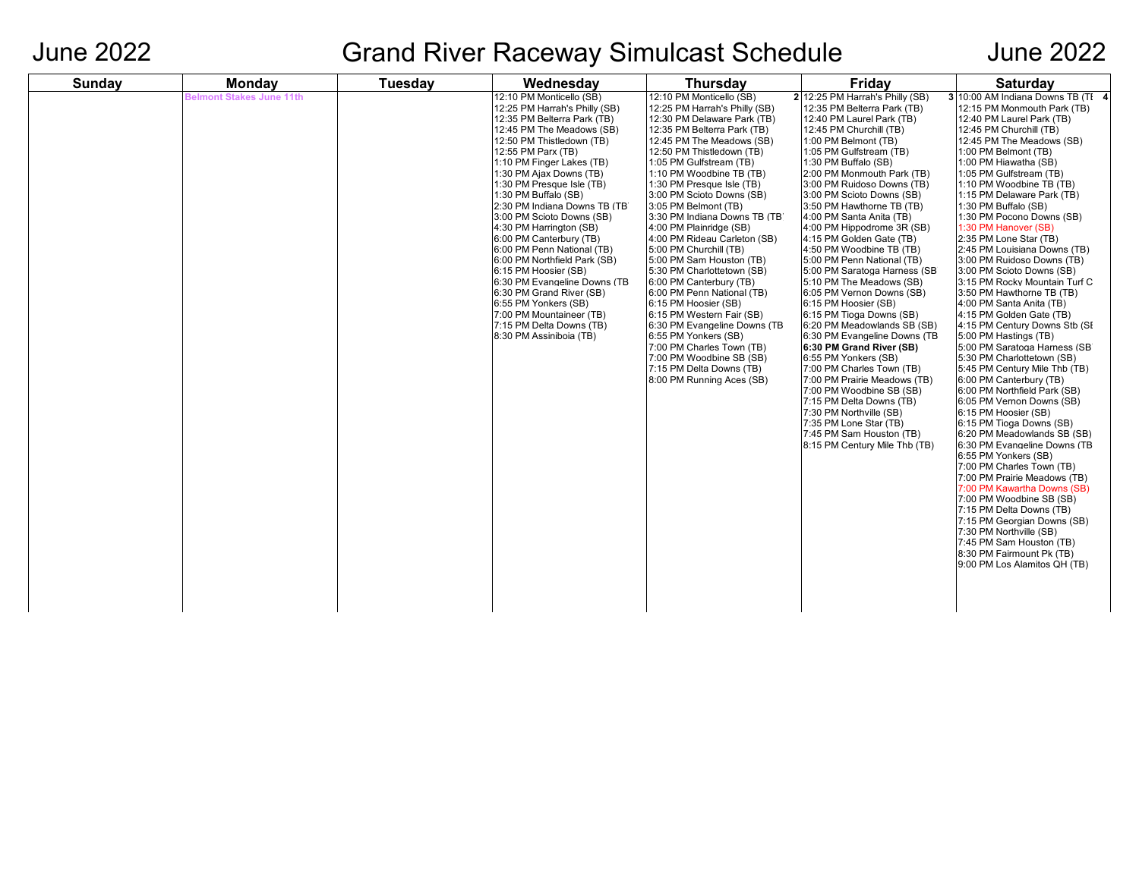## June 2022 Grand River Raceway Simulcast Schedule June 2022

| <b>Sunday</b> | <b>Monday</b>                   | <b>Tuesday</b> | Wednesday                                                                                                                                                                                                                                                                                                                                                                                                                                                                                                                                                                                                                                                              | <b>Thursday</b>                                                                                                                                                                                                                                                                                                                                                                                                                                                                                                                                                                                                                                                                                                                                                                                    | Friday                                                                                                                                                                                                                                                                                                                                                                                                                                                                                                                                                                                                                                                                                                                                                                                                                                                                                                                                                                          | Saturday                                                                                                                                                                                                                                                                                                                                                                                                                                                                                                                                                                                                                                                                                                                                                                                                                                                                                                                                                                                                                                                                                                                                                                                                                                                                                                                |
|---------------|---------------------------------|----------------|------------------------------------------------------------------------------------------------------------------------------------------------------------------------------------------------------------------------------------------------------------------------------------------------------------------------------------------------------------------------------------------------------------------------------------------------------------------------------------------------------------------------------------------------------------------------------------------------------------------------------------------------------------------------|----------------------------------------------------------------------------------------------------------------------------------------------------------------------------------------------------------------------------------------------------------------------------------------------------------------------------------------------------------------------------------------------------------------------------------------------------------------------------------------------------------------------------------------------------------------------------------------------------------------------------------------------------------------------------------------------------------------------------------------------------------------------------------------------------|---------------------------------------------------------------------------------------------------------------------------------------------------------------------------------------------------------------------------------------------------------------------------------------------------------------------------------------------------------------------------------------------------------------------------------------------------------------------------------------------------------------------------------------------------------------------------------------------------------------------------------------------------------------------------------------------------------------------------------------------------------------------------------------------------------------------------------------------------------------------------------------------------------------------------------------------------------------------------------|-------------------------------------------------------------------------------------------------------------------------------------------------------------------------------------------------------------------------------------------------------------------------------------------------------------------------------------------------------------------------------------------------------------------------------------------------------------------------------------------------------------------------------------------------------------------------------------------------------------------------------------------------------------------------------------------------------------------------------------------------------------------------------------------------------------------------------------------------------------------------------------------------------------------------------------------------------------------------------------------------------------------------------------------------------------------------------------------------------------------------------------------------------------------------------------------------------------------------------------------------------------------------------------------------------------------------|
|               | <b>Belmont Stakes June 11th</b> |                | 12:10 PM Monticello (SB)<br>12:25 PM Harrah's Philly (SB)<br>12:35 PM Belterra Park (TB)<br>12:45 PM The Meadows (SB)<br>12:50 PM Thistledown (TB)<br>12:55 PM Parx (TB)<br>1:10 PM Finger Lakes (TB)<br>1:30 PM Ajax Downs (TB)<br>1:30 PM Presque Isle (TB)<br>1:30 PM Buffalo (SB)<br>2:30 PM Indiana Downs TB (TB)<br>3:00 PM Scioto Downs (SB)<br>4:30 PM Harrington (SB)<br>6:00 PM Canterbury (TB)<br>6:00 PM Penn National (TB)<br>6:00 PM Northfield Park (SB)<br>6:15 PM Hoosier (SB)<br>6:30 PM Evangeline Downs (TB<br>6:30 PM Grand River (SB)<br>6:55 PM Yonkers (SB)<br>7:00 PM Mountaineer (TB)<br>7:15 PM Delta Downs (TB)<br>8:30 PM Assiniboia (TB) | 12:10 PM Monticello (SB)<br>12:25 PM Harrah's Philly (SB)<br>12:30 PM Delaware Park (TB)<br>12:35 PM Belterra Park (TB)<br>12:45 PM The Meadows (SB)<br>12:50 PM Thistledown (TB)<br>1:05 PM Gulfstream (TB)<br>1:10 PM Woodbine TB (TB)<br>1:30 PM Presque Isle (TB)<br>3:00 PM Scioto Downs (SB)<br>3:05 PM Belmont (TB)<br>3:30 PM Indiana Downs TB (TB)<br>4:00 PM Plainridge (SB)<br>4:00 PM Rideau Carleton (SB)<br>5:00 PM Churchill (TB)<br>5:00 PM Sam Houston (TB)<br>5:30 PM Charlottetown (SB)<br>6:00 PM Canterbury (TB)<br>6:00 PM Penn National (TB)<br>6:15 PM Hoosier (SB)<br>6:15 PM Western Fair (SB)<br>6:30 PM Evangeline Downs (TB<br>6:55 PM Yonkers (SB)<br>7:00 PM Charles Town (TB)<br>7:00 PM Woodbine SB (SB)<br>7:15 PM Delta Downs (TB)<br>8:00 PM Running Aces (SB) | 2 12:25 PM Harrah's Philly (SB)<br>12:35 PM Belterra Park (TB)<br>12:40 PM Laurel Park (TB)<br>12:45 PM Churchill (TB)<br>1:00 PM Belmont (TB)<br>1:05 PM Gulfstream (TB)<br>1:30 PM Buffalo (SB)<br>2:00 PM Monmouth Park (TB)<br>3:00 PM Ruidoso Downs (TB)<br>3:00 PM Scioto Downs (SB)<br>3:50 PM Hawthorne TB (TB)<br>4:00 PM Santa Anita (TB)<br>4:00 PM Hippodrome 3R (SB)<br>4:15 PM Golden Gate (TB)<br>4:50 PM Woodbine TB (TB)<br>5:00 PM Penn National (TB)<br>5:00 PM Saratoga Harness (SB)<br>5:10 PM The Meadows (SB)<br>6:05 PM Vernon Downs (SB)<br>6:15 PM Hoosier (SB)<br>6:15 PM Tioga Downs (SB)<br>6:20 PM Meadowlands SB (SB)<br>6:30 PM Evangeline Downs (TB<br>6:30 PM Grand River (SB)<br>6:55 PM Yonkers (SB)<br>7:00 PM Charles Town (TB)<br>7:00 PM Prairie Meadows (TB)<br>7:00 PM Woodbine SB (SB)<br>7:15 PM Delta Downs (TB)<br>7:30 PM Northville (SB)<br>7:35 PM Lone Star (TB)<br>7:45 PM Sam Houston (TB)<br>8:15 PM Century Mile Thb (TB) | 3 10:00 AM Indiana Downs TB (TI 4<br>12:15 PM Monmouth Park (TB)<br>12:40 PM Laurel Park (TB)<br>12:45 PM Churchill (TB)<br>12:45 PM The Meadows (SB)<br>1:00 PM Belmont (TB)<br>1:00 PM Hiawatha (SB)<br>1:05 PM Gulfstream (TB)<br>1:10 PM Woodbine TB (TB)<br>1:15 PM Delaware Park (TB)<br>1:30 PM Buffalo (SB)<br>1:30 PM Pocono Downs (SB)<br>1:30 PM Hanover (SB)<br>2:35 PM Lone Star (TB)<br>2:45 PM Louisiana Downs (TB)<br>3:00 PM Ruidoso Downs (TB)<br>3:00 PM Scioto Downs (SB)<br>3:15 PM Rocky Mountain Turf C<br>3:50 PM Hawthorne TB (TB)<br>4:00 PM Santa Anita (TB)<br>4:15 PM Golden Gate (TB)<br>4:15 PM Century Downs Stb (SE<br>5:00 PM Hastings (TB)<br>5:00 PM Saratoga Harness (SB)<br>5:30 PM Charlottetown (SB)<br>5:45 PM Century Mile Thb (TB)<br>6:00 PM Canterbury (TB)<br>6:00 PM Northfield Park (SB)<br>6:05 PM Vernon Downs (SB)<br>6:15 PM Hoosier (SB)<br>6:15 PM Tioga Downs (SB)<br>6:20 PM Meadowlands SB (SB)<br>6:30 PM Evangeline Downs (TB<br>6:55 PM Yonkers (SB)<br>7:00 PM Charles Town (TB)<br>7:00 PM Prairie Meadows (TB)<br>7:00 PM Kawartha Downs (SB)<br>7:00 PM Woodbine SB (SB)<br>7:15 PM Delta Downs (TB)<br>7:15 PM Georgian Downs (SB)<br>7:30 PM Northville (SB)<br>7:45 PM Sam Houston (TB)<br>8:30 PM Fairmount Pk (TB)<br>9:00 PM Los Alamitos QH (TB) |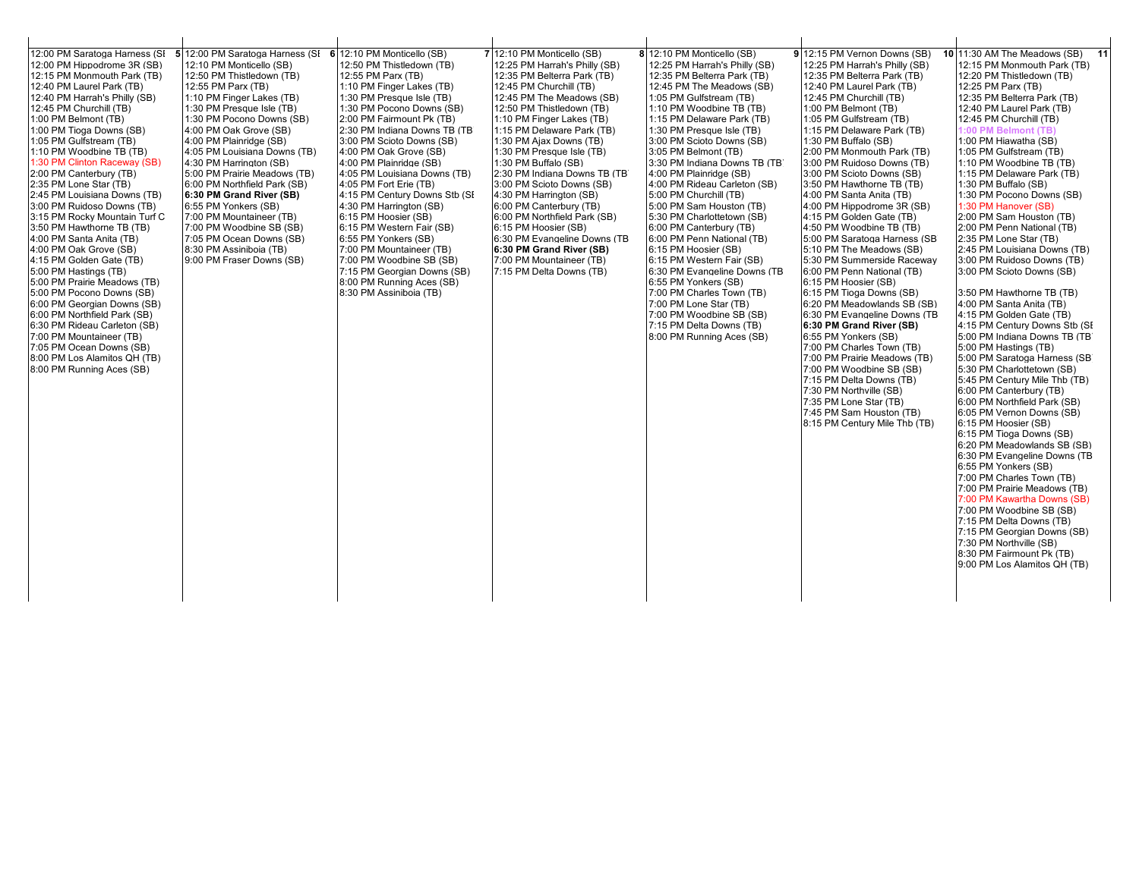| 12:00 PM Saratoga Harness (SI<br>12:00 PM Hippodrome 3R (SB)<br>12:15 PM Monmouth Park (TB)<br>12:40 PM Laurel Park (TB)<br>12:40 PM Harrah's Philly (SB)<br>12:45 PM Churchill (TB)<br>1:00 PM Belmont (TB)<br>1:00 PM Tioga Downs (SB)<br>1:05 PM Gulfstream (TB)<br>1:10 PM Woodbine TB (TB)<br>1:30 PM Clinton Raceway (SB)<br>2:00 PM Canterbury (TB)<br>2:35 PM Lone Star (TB)<br>2:45 PM Louisiana Downs (TB)<br>3:00 PM Ruidoso Downs (TB)<br>3:15 PM Rocky Mountain Turf C<br>3:50 PM Hawthorne TB (TB)<br>4:00 PM Santa Anita (TB)<br>4:00 PM Oak Grove (SB)<br>4:15 PM Golden Gate (TB)<br>5:00 PM Hastings (TB)<br>5:00 PM Prairie Meadows (TB)<br>5:00 PM Pocono Downs (SB)<br>6:00 PM Georgian Downs (SB)<br>6:00 PM Northfield Park (SB)<br>6:30 PM Rideau Carleton (SB)<br>7:00 PM Mountaineer (TB)<br>7:05 PM Ocean Downs (SB)<br>8:00 PM Los Alamitos QH (TB)<br>8:00 PM Running Aces (SB) | 5 12:00 PM Saratoga Harness (SI<br>12:10 PM Monticello (SB)<br>12:50 PM Thistledown (TB)<br>12:55 PM Parx (TB)<br>1:10 PM Finger Lakes (TB)<br>1:30 PM Presque Isle (TB)<br>1:30 PM Pocono Downs (SB)<br>4:00 PM Oak Grove (SB)<br>4:00 PM Plainridge (SB)<br>4:05 PM Louisiana Downs (TB)<br>4:30 PM Harrington (SB)<br>5:00 PM Prairie Meadows (TB)<br>6:00 PM Northfield Park (SB)<br>6:30 PM Grand River (SB)<br>6:55 PM Yonkers (SB)<br>7:00 PM Mountaineer (TB)<br>7:00 PM Woodbine SB (SB)<br>7:05 PM Ocean Downs (SB)<br>8:30 PM Assiniboia (TB)<br>9:00 PM Fraser Downs (SB) | 6 12:10 PM Monticello (SB)<br>12:50 PM Thistledown (TB)<br>12:55 PM Parx (TB)<br>1:10 PM Finger Lakes (TB)<br>1:30 PM Presque Isle (TB)<br>1:30 PM Pocono Downs (SB)<br>2:00 PM Fairmount Pk (TB)<br>2:30 PM Indiana Downs TB (TB)<br>3:00 PM Scioto Downs (SB)<br>4:00 PM Oak Grove (SB)<br>4:00 PM Plainridge (SB)<br>4:05 PM Louisiana Downs (TB)<br>4:05 PM Fort Erie (TB)<br>4:15 PM Century Downs Stb (SI<br>4:30 PM Harrington (SB)<br>6:15 PM Hoosier (SB)<br>6:15 PM Western Fair (SB)<br>6:55 PM Yonkers (SB)<br>7:00 PM Mountaineer (TB)<br>7:00 PM Woodbine SB (SB)<br>7:15 PM Georgian Downs (SB)<br>8:00 PM Running Aces (SB)<br>8:30 PM Assiniboia (TB) | 7 12:10 PM Monticello (SB)<br>12:25 PM Harrah's Philly (SB)<br>12:35 PM Belterra Park (TB)<br>12:45 PM Churchill (TB)<br>12:45 PM The Meadows (SB)<br>12:50 PM Thistledown (TB)<br>1:10 PM Finger Lakes (TB)<br>1:15 PM Delaware Park (TB)<br>1:30 PM Ajax Downs (TB)<br>1:30 PM Presque Isle (TB)<br>1:30 PM Buffalo (SB)<br>2:30 PM Indiana Downs TB (TB<br>3:00 PM Scioto Downs (SB)<br>4:30 PM Harrington (SB)<br>6:00 PM Canterbury (TB)<br>6:00 PM Northfield Park (SB)<br>6:15 PM Hoosier (SB)<br>6:30 PM Evangeline Downs (TB<br>6:30 PM Grand River (SB)<br>7:00 PM Mountaineer (TB)<br>7:15 PM Delta Downs (TB) | 8 12:10 PM Monticello (SB)<br>12:25 PM Harrah's Philly (SB)<br>12:35 PM Belterra Park (TB)<br>12:45 PM The Meadows (SB)<br>1:05 PM Gulfstream (TB)<br>1:10 PM Woodbine TB (TB)<br>1:15 PM Delaware Park (TB)<br>1:30 PM Presque Isle (TB)<br>3:00 PM Scioto Downs (SB)<br>3:05 PM Belmont (TB)<br>3:30 PM Indiana Downs TB (TB)<br>4:00 PM Plainridge (SB)<br>4:00 PM Rideau Carleton (SB)<br>5:00 PM Churchill (TB)<br>5:00 PM Sam Houston (TB)<br>5:30 PM Charlottetown (SB)<br>6:00 PM Canterbury (TB)<br>6:00 PM Penn National (TB)<br>6:15 PM Hoosier (SB)<br>6:15 PM Western Fair (SB)<br>6:30 PM Evangeline Downs (TB<br>6:55 PM Yonkers (SB)<br>7:00 PM Charles Town (TB)<br>7:00 PM Lone Star (TB)<br>7:00 PM Woodbine SB (SB)<br>7:15 PM Delta Downs (TB)<br>8:00 PM Running Aces (SB) | 9 12:15 PM Vernon Downs (SB)<br>12:25 PM Harrah's Philly (SB)<br>12:35 PM Belterra Park (TB)<br>12:40 PM Laurel Park (TB)<br>12:45 PM Churchill (TB)<br>1:00 PM Belmont (TB)<br>1:05 PM Gulfstream (TB)<br>1:15 PM Delaware Park (TB)<br>1:30 PM Buffalo (SB)<br>2:00 PM Monmouth Park (TB)<br>3:00 PM Ruidoso Downs (TB)<br>3:00 PM Scioto Downs (SB)<br>3:50 PM Hawthorne TB (TB)<br>4:00 PM Santa Anita (TB)<br>4:00 PM Hippodrome 3R (SB)<br>4:15 PM Golden Gate (TB)<br>4:50 PM Woodbine TB (TB)<br>5:00 PM Saratoga Harness (SB)<br>5:10 PM The Meadows (SB)<br>5:30 PM Summerside Raceway<br>6:00 PM Penn National (TB)<br>6:15 PM Hoosier (SB)<br>6:15 PM Tioga Downs (SB)<br>6:20 PM Meadowlands SB (SB)<br>6:30 PM Evangeline Downs (TB<br>6:30 PM Grand River (SB)<br>6:55 PM Yonkers (SB)<br>7:00 PM Charles Town (TB)<br>7:00 PM Prairie Meadows (TB)<br>7:00 PM Woodbine SB (SB)<br>7:15 PM Delta Downs (TB)<br>7:30 PM Northville (SB)<br>7:35 PM Lone Star (TB)<br>7:45 PM Sam Houston (TB)<br>8:15 PM Century Mile Thb (TB) | 11<br>10 11:30 AM The Meadows (SB)<br>12:15 PM Monmouth Park (TB)<br>12:20 PM Thistledown (TB)<br>12:25 PM Parx (TB)<br>12:35 PM Belterra Park (TB)<br>12:40 PM Laurel Park (TB)<br>12:45 PM Churchill (TB)<br>1:00 PM Belmont (TB)<br>1:00 PM Hiawatha (SB)<br>1:05 PM Gulfstream (TB)<br>1:10 PM Woodbine TB (TB)<br>1:15 PM Delaware Park (TB)<br>1:30 PM Buffalo (SB)<br>1:30 PM Pocono Downs (SB)<br>1:30 PM Hanover (SB)<br>2:00 PM Sam Houston (TB)<br>2:00 PM Penn National (TB)<br>2:35 PM Lone Star (TB)<br>2:45 PM Louisiana Downs (TB)<br>3:00 PM Ruidoso Downs (TB)<br>3:00 PM Scioto Downs (SB)<br>3:50 PM Hawthorne TB (TB)<br>4:00 PM Santa Anita (TB)<br>4:15 PM Golden Gate (TB)<br>4:15 PM Century Downs Stb (SE<br>5:00 PM Indiana Downs TB (TB)<br>5:00 PM Hastings (TB)<br>5:00 PM Saratoga Harness (SB<br>5:30 PM Charlottetown (SB)<br>5:45 PM Century Mile Thb (TB)<br>6:00 PM Canterbury (TB)<br>6:00 PM Northfield Park (SB)<br>6:05 PM Vernon Downs (SB)<br>6:15 PM Hoosier (SB)<br>6:15 PM Tioga Downs (SB)<br>6:20 PM Meadowlands SB (SB)<br>6:30 PM Evangeline Downs (TB<br>6:55 PM Yonkers (SB)<br>7:00 PM Charles Town (TB)<br>7:00 PM Prairie Meadows (TB)<br>7:00 PM Kawartha Downs (SB)<br>7:00 PM Woodbine SB (SB)<br>7:15 PM Delta Downs (TB)<br>7:15 PM Georgian Downs (SB)<br>7:30 PM Northville (SB)<br>8:30 PM Fairmount Pk (TB)<br>9:00 PM Los Alamitos QH (TB) |
|--------------------------------------------------------------------------------------------------------------------------------------------------------------------------------------------------------------------------------------------------------------------------------------------------------------------------------------------------------------------------------------------------------------------------------------------------------------------------------------------------------------------------------------------------------------------------------------------------------------------------------------------------------------------------------------------------------------------------------------------------------------------------------------------------------------------------------------------------------------------------------------------------------------|---------------------------------------------------------------------------------------------------------------------------------------------------------------------------------------------------------------------------------------------------------------------------------------------------------------------------------------------------------------------------------------------------------------------------------------------------------------------------------------------------------------------------------------------------------------------------------------|------------------------------------------------------------------------------------------------------------------------------------------------------------------------------------------------------------------------------------------------------------------------------------------------------------------------------------------------------------------------------------------------------------------------------------------------------------------------------------------------------------------------------------------------------------------------------------------------------------------------------------------------------------------------|---------------------------------------------------------------------------------------------------------------------------------------------------------------------------------------------------------------------------------------------------------------------------------------------------------------------------------------------------------------------------------------------------------------------------------------------------------------------------------------------------------------------------------------------------------------------------------------------------------------------------|--------------------------------------------------------------------------------------------------------------------------------------------------------------------------------------------------------------------------------------------------------------------------------------------------------------------------------------------------------------------------------------------------------------------------------------------------------------------------------------------------------------------------------------------------------------------------------------------------------------------------------------------------------------------------------------------------------------------------------------------------------------------------------------------------|----------------------------------------------------------------------------------------------------------------------------------------------------------------------------------------------------------------------------------------------------------------------------------------------------------------------------------------------------------------------------------------------------------------------------------------------------------------------------------------------------------------------------------------------------------------------------------------------------------------------------------------------------------------------------------------------------------------------------------------------------------------------------------------------------------------------------------------------------------------------------------------------------------------------------------------------------------------------------------------------------------------------------------------------|------------------------------------------------------------------------------------------------------------------------------------------------------------------------------------------------------------------------------------------------------------------------------------------------------------------------------------------------------------------------------------------------------------------------------------------------------------------------------------------------------------------------------------------------------------------------------------------------------------------------------------------------------------------------------------------------------------------------------------------------------------------------------------------------------------------------------------------------------------------------------------------------------------------------------------------------------------------------------------------------------------------------------------------------------------------------------------------------------------------------------------------------------------------------------------------------------------------------------------------------------------------------------------------------------------------------------------------------------------------------------------------------------------|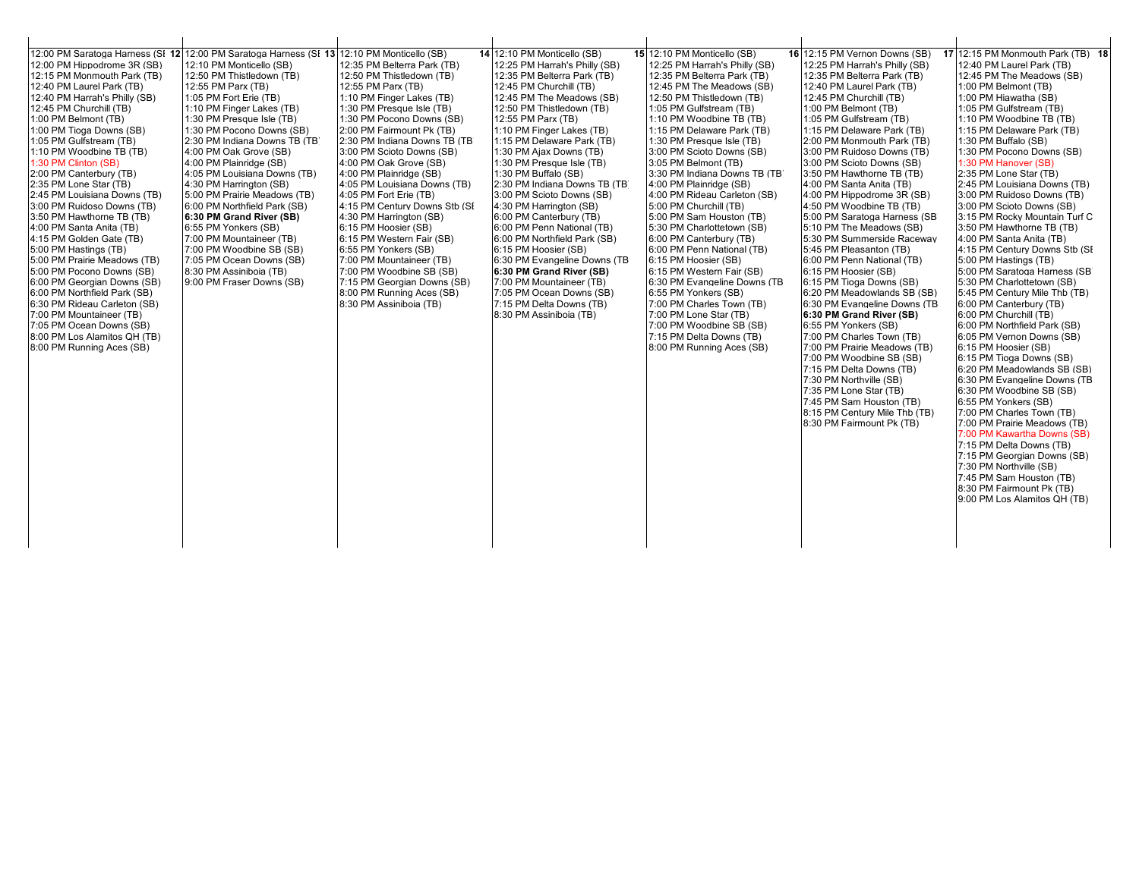| 12:00 PM Hippodrome 3R (SB)<br>12:15 PM Monmouth Park (TB)<br>12:40 PM Laurel Park (TB)<br>12:40 PM Harrah's Philly (SB)<br>12:45 PM Churchill (TB)<br>1:00 PM Belmont (TB)<br>1:00 PM Tioga Downs (SB)<br>1:05 PM Gulfstream (TB)<br>1:10 PM Woodbine TB (TB)<br>1:30 PM Clinton (SB)<br>2:00 PM Canterbury (TB)<br>2:35 PM Lone Star (TB)<br>2:45 PM Louisiana Downs (TB)<br>3:00 PM Ruidoso Downs (TB)<br>3:50 PM Hawthorne TB (TB)<br>4:00 PM Santa Anita (TB)<br>4:15 PM Golden Gate (TB)<br>5:00 PM Hastings (TB)<br>5:00 PM Prairie Meadows (TB)<br>5:00 PM Pocono Downs (SB)<br>6:00 PM Georgian Downs (SB)<br>6:00 PM Northfield Park (SB)<br>6:30 PM Rideau Carleton (SB)<br>7:00 PM Mountaineer (TB)<br>7:05 PM Ocean Downs (SB)<br>8:00 PM Los Alamitos QH (TB)<br>8:00 PM Running Aces (SB) | 12:00 PM Saratoga Harness (SI 12 12:00 PM Saratoga Harness (SI 13 12:10 PM Monticello (SB)<br>12:10 PM Monticello (SB)<br>12:50 PM Thistledown (TB)<br>12:55 PM Parx (TB)<br>1:05 PM Fort Erie (TB)<br>1:10 PM Finger Lakes (TB)<br>1:30 PM Presque Isle (TB)<br>1:30 PM Pocono Downs (SB)<br>2:30 PM Indiana Downs TB (TB)<br>4:00 PM Oak Grove (SB)<br>4:00 PM Plainridge (SB)<br>4:05 PM Louisiana Downs (TB)<br>4:30 PM Harrington (SB)<br>5:00 PM Prairie Meadows (TB)<br>6:00 PM Northfield Park (SB)<br>6:30 PM Grand River (SB)<br>6:55 PM Yonkers (SB)<br>7:00 PM Mountaineer (TB)<br>7:00 PM Woodbine SB (SB)<br>7:05 PM Ocean Downs (SB)<br>8:30 PM Assiniboia (TB)<br>9:00 PM Fraser Downs (SB) | 12:35 PM Belterra Park (TB)<br>12:50 PM Thistledown (TB)<br>12:55 PM Parx (TB)<br>1:10 PM Finger Lakes (TB)<br>1:30 PM Presque Isle (TB)<br>1:30 PM Pocono Downs (SB)<br>2:00 PM Fairmount Pk (TB)<br>2:30 PM Indiana Downs TB (TB)<br>3:00 PM Scioto Downs (SB)<br>4:00 PM Oak Grove (SB)<br>4:00 PM Plainridge (SB)<br>4:05 PM Louisiana Downs (TB)<br>4:05 PM Fort Erie (TB)<br>4:15 PM Century Downs Stb (SI<br>4:30 PM Harrington (SB)<br>6:15 PM Hoosier (SB)<br>6:15 PM Western Fair (SB)<br>6:55 PM Yonkers (SB)<br>7:00 PM Mountaineer (TB)<br>7:00 PM Woodbine SB (SB)<br>7:15 PM Georgian Downs (SB)<br>8:00 PM Running Aces (SB)<br>8:30 PM Assiniboia (TB) | 14 12:10 PM Monticello (SB)<br>12:25 PM Harrah's Philly (SB)<br>12:35 PM Belterra Park (TB)<br>12:45 PM Churchill (TB)<br>12:45 PM The Meadows (SB)<br>12:50 PM Thistledown (TB)<br>12:55 PM Parx (TB)<br>1:10 PM Finger Lakes (TB)<br>1:15 PM Delaware Park (TB)<br>1:30 PM Ajax Downs (TB)<br>1:30 PM Presque Isle (TB)<br>1:30 PM Buffalo (SB)<br>2:30 PM Indiana Downs TB (TB)<br>3:00 PM Scioto Downs (SB)<br>4:30 PM Harrington (SB)<br>6:00 PM Canterbury (TB)<br>6:00 PM Penn National (TB)<br>6:00 PM Northfield Park (SB)<br>6:15 PM Hoosier (SB)<br>6:30 PM Evangeline Downs (TB<br>6:30 PM Grand River (SB)<br>7:00 PM Mountaineer (TB)<br>7:05 PM Ocean Downs (SB)<br>7:15 PM Delta Downs (TB)<br>8:30 PM Assiniboia (TB) | 15 12:10 PM Monticello (SB)<br>12:25 PM Harrah's Philly (SB)<br>12:35 PM Belterra Park (TB)<br>12:45 PM The Meadows (SB)<br>12:50 PM Thistledown (TB)<br>1:05 PM Gulfstream (TB)<br>1:10 PM Woodbine TB (TB)<br>1:15 PM Delaware Park (TB)<br>1:30 PM Presque Isle (TB)<br>3:00 PM Scioto Downs (SB)<br>3:05 PM Belmont (TB)<br>3:30 PM Indiana Downs TB (TB)<br>4:00 PM Plainridge (SB)<br>4:00 PM Rideau Carleton (SB)<br>5:00 PM Churchill (TB)<br>5:00 PM Sam Houston (TB)<br>5:30 PM Charlottetown (SB)<br>6:00 PM Canterbury (TB)<br>6:00 PM Penn National (TB)<br>6:15 PM Hoosier (SB)<br>6:15 PM Western Fair (SB)<br>6:30 PM Evangeline Downs (TB<br>6:55 PM Yonkers (SB)<br>7:00 PM Charles Town (TB)<br>7:00 PM Lone Star (TB)<br>7:00 PM Woodbine SB (SB)<br>7:15 PM Delta Downs (TB)<br>8:00 PM Running Aces (SB) | 16 12:15 PM Vernon Downs (SB)<br>12:25 PM Harrah's Philly (SB)<br>12:35 PM Belterra Park (TB)<br>12:40 PM Laurel Park (TB)<br>12:45 PM Churchill (TB)<br>1:00 PM Belmont (TB)<br>1:05 PM Gulfstream (TB)<br>1:15 PM Delaware Park (TB)<br>2:00 PM Monmouth Park (TB)<br>3:00 PM Ruidoso Downs (TB)<br>3:00 PM Scioto Downs (SB)<br>3:50 PM Hawthorne TB (TB)<br>4:00 PM Santa Anita (TB)<br>4:00 PM Hippodrome 3R (SB)<br>4:50 PM Woodbine TB (TB)<br>5:00 PM Saratoga Harness (SB)<br>5:10 PM The Meadows (SB)<br>5:30 PM Summerside Raceway<br>5:45 PM Pleasanton (TB)<br>6:00 PM Penn National (TB)<br>6:15 PM Hoosier (SB)<br>6:15 PM Tioga Downs (SB)<br>6:20 PM Meadowlands SB (SB)<br>6:30 PM Evangeline Downs (TB<br>6:30 PM Grand River (SB)<br>6:55 PM Yonkers (SB)<br>7:00 PM Charles Town (TB)<br>7:00 PM Prairie Meadows (TB)<br>7:00 PM Woodbine SB (SB)<br>7:15 PM Delta Downs (TB)<br>7:30 PM Northville (SB)<br>7:35 PM Lone Star (TB)<br>7:45 PM Sam Houston (TB)<br>8:15 PM Century Mile Thb (TB)<br>8:30 PM Fairmount Pk (TB) | 17 12:15 PM Monmouth Park (TB) 18<br>12:40 PM Laurel Park (TB)<br>12:45 PM The Meadows (SB)<br>1:00 PM Belmont (TB)<br>1:00 PM Hiawatha (SB)<br>1:05 PM Gulfstream (TB)<br>1:10 PM Woodbine TB (TB)<br>1:15 PM Delaware Park (TB)<br>1:30 PM Buffalo (SB)<br>1:30 PM Pocono Downs (SB)<br>1:30 PM Hanover (SB)<br>2:35 PM Lone Star (TB)<br>2:45 PM Louisiana Downs (TB)<br>3:00 PM Ruidoso Downs (TB)<br>3:00 PM Scioto Downs (SB)<br>3:15 PM Rocky Mountain Turf C<br>3:50 PM Hawthorne TB (TB)<br>4:00 PM Santa Anita (TB)<br>4:15 PM Century Downs Stb (SI<br>5:00 PM Hastings (TB)<br>5:00 PM Saratoga Harness (SB)<br>5:30 PM Charlottetown (SB)<br>5:45 PM Century Mile Thb (TB)<br>6:00 PM Canterbury (TB)<br>6:00 PM Churchill (TB)<br>6:00 PM Northfield Park (SB)<br>6:05 PM Vernon Downs (SB)<br>6:15 PM Hoosier (SB)<br>6:15 PM Tioga Downs (SB)<br>6:20 PM Meadowlands SB (SB)<br>6:30 PM Evangeline Downs (TB<br>6:30 PM Woodbine SB (SB)<br>6:55 PM Yonkers (SB)<br>7:00 PM Charles Town (TB)<br>7:00 PM Prairie Meadows (TB)<br>7:00 PM Kawartha Downs (SB)<br>7:15 PM Delta Downs (TB)<br>7:15 PM Georgian Downs (SB)<br>7:30 PM Northville (SB)<br>7:45 PM Sam Houston (TB)<br>8:30 PM Fairmount Pk (TB)<br>9:00 PM Los Alamitos QH (TB) |
|----------------------------------------------------------------------------------------------------------------------------------------------------------------------------------------------------------------------------------------------------------------------------------------------------------------------------------------------------------------------------------------------------------------------------------------------------------------------------------------------------------------------------------------------------------------------------------------------------------------------------------------------------------------------------------------------------------------------------------------------------------------------------------------------------------|-------------------------------------------------------------------------------------------------------------------------------------------------------------------------------------------------------------------------------------------------------------------------------------------------------------------------------------------------------------------------------------------------------------------------------------------------------------------------------------------------------------------------------------------------------------------------------------------------------------------------------------------------------------------------------------------------------------|-------------------------------------------------------------------------------------------------------------------------------------------------------------------------------------------------------------------------------------------------------------------------------------------------------------------------------------------------------------------------------------------------------------------------------------------------------------------------------------------------------------------------------------------------------------------------------------------------------------------------------------------------------------------------|----------------------------------------------------------------------------------------------------------------------------------------------------------------------------------------------------------------------------------------------------------------------------------------------------------------------------------------------------------------------------------------------------------------------------------------------------------------------------------------------------------------------------------------------------------------------------------------------------------------------------------------------------------------------------------------------------------------------------------------|--------------------------------------------------------------------------------------------------------------------------------------------------------------------------------------------------------------------------------------------------------------------------------------------------------------------------------------------------------------------------------------------------------------------------------------------------------------------------------------------------------------------------------------------------------------------------------------------------------------------------------------------------------------------------------------------------------------------------------------------------------------------------------------------------------------------------------|---------------------------------------------------------------------------------------------------------------------------------------------------------------------------------------------------------------------------------------------------------------------------------------------------------------------------------------------------------------------------------------------------------------------------------------------------------------------------------------------------------------------------------------------------------------------------------------------------------------------------------------------------------------------------------------------------------------------------------------------------------------------------------------------------------------------------------------------------------------------------------------------------------------------------------------------------------------------------------------------------------------------------------------------------|-------------------------------------------------------------------------------------------------------------------------------------------------------------------------------------------------------------------------------------------------------------------------------------------------------------------------------------------------------------------------------------------------------------------------------------------------------------------------------------------------------------------------------------------------------------------------------------------------------------------------------------------------------------------------------------------------------------------------------------------------------------------------------------------------------------------------------------------------------------------------------------------------------------------------------------------------------------------------------------------------------------------------------------------------------------------------------------------------------------------------------------------------------------------------------------------------------------------------------------------------------------|